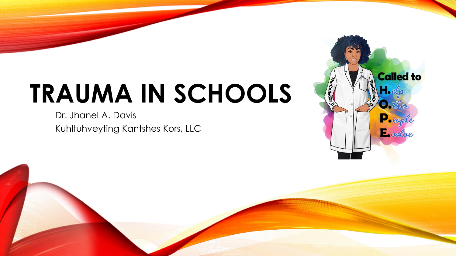# **TRAUMA IN SCHOOLS**

Dr. Jhanel A. Davis Kuhltuhveyting Kantshes Kors, LLC

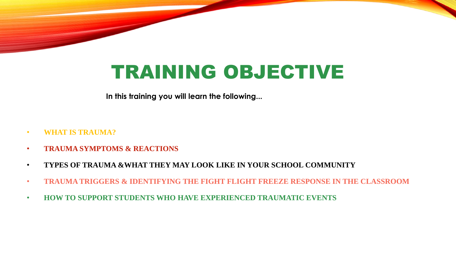## TRAINING OBJECTIVE

**In this training you will learn the following...**

- **WHAT IS TRAUMA?**
- **TRAUMA SYMPTOMS & REACTIONS**
- **TYPES OF TRAUMA &WHAT THEY MAY LOOK LIKE IN YOUR SCHOOL COMMUNITY**
- **TRAUMA TRIGGERS & IDENTIFYING THE FIGHT FLIGHT FREEZE RESPONSE IN THE CLASSROOM**
- **HOW TO SUPPORT STUDENTS WHO HAVE EXPERIENCED TRAUMATIC EVENTS**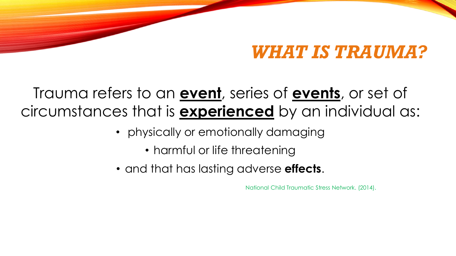### *WHAT IS TRAUMA?*

### Trauma refers to an **event**, series of **events**, or set of circumstances that is **experienced** by an individual as:

- physically or emotionally damaging
	- harmful or life threatening
- and that has lasting adverse **effects**.

National Child Traumatic Stress Network. (2014).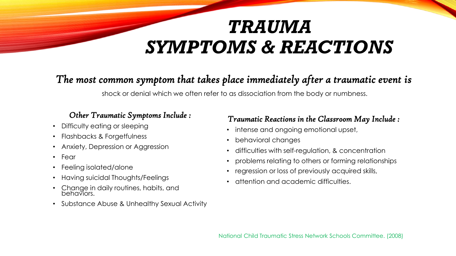## *TRAUMA SYMPTOMS & REACTIONS*

### *The most common symptom that takes place immediately after a traumatic event is*

shock or denial which we often refer to as dissociation from the body or numbness.

#### *Other Traumatic Symptoms Include :*

- Difficulty eating or sleeping
- Flashbacks & Forgetfulness
- Anxiety, Depression or Aggression
- Fear
- Feeling isolated/alone
- Having suicidal Thoughts/Feelings
- Change in daily routines, habits, and behaviors.
- Substance Abuse & Unhealthy Sexual Activity

#### *Traumatic Reactions in the Classroom May Include :*

- intense and ongoing emotional upset,
- behavioral changes
- difficulties with self-regulation, & concentration
- problems relating to others or forming relationships
- regression or loss of previously acquired skills,
- attention and academic difficulties.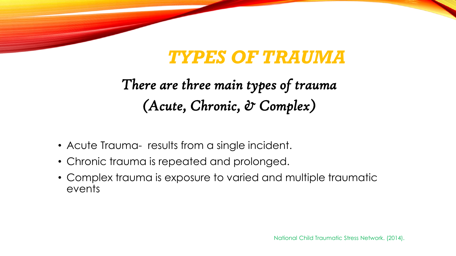## *TYPES OF TRAUMA*

### *There are three main types of trauma (Acute, Chronic, & Complex)*

- Acute Trauma- results from a single incident.
- Chronic trauma is repeated and prolonged.
- Complex trauma is exposure to varied and multiple traumatic events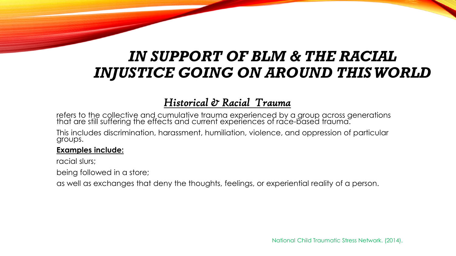### *IN SUPPORT OF BLM & THE RACIAL INJUSTICE GOING ON AROUND THIS WORLD*

### *Historical & Racial Trauma*

refers to the collective and cumulative trauma experienced by a group across generations that are still suffering the effects and current experiences of race-based trauma.

This includes discrimination, harassment, humiliation, violence, and oppression of particular groups.

#### **Examples include:**

racial slurs;

being followed in a store;

as well as exchanges that deny the thoughts, feelings, or experiential reality of a person.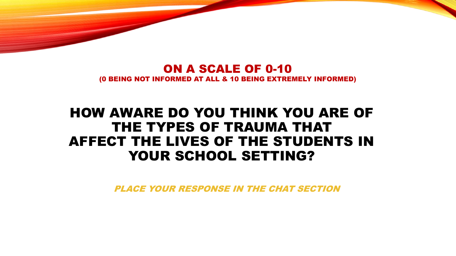#### ON A SCALE OF 0-10 (0 BEING NOT INFORMED AT ALL & 10 BEING EXTREMELY INFORMED)

### HOW AWARE DO YOU THINK YOU ARE OF THE TYPES OF TRAUMA THAT AFFECT THE LIVES OF THE STUDENTS IN YOUR SCHOOL SETTING?

PLACE YOUR RESPONSE IN THE CHAT SECTION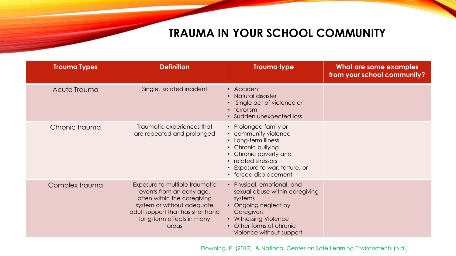### **TRAUMA IN YOUR SCHOOL COMMUNITY**

| <b>Trauma Types</b> | <b>Definition</b>                                                                                                                                                                                  | <b>Trauma type</b>                                                                                                                                                                                    | What are some examples<br>from your school community? |
|---------------------|----------------------------------------------------------------------------------------------------------------------------------------------------------------------------------------------------|-------------------------------------------------------------------------------------------------------------------------------------------------------------------------------------------------------|-------------------------------------------------------|
| Acute Trauma        | Single, isolated incident                                                                                                                                                                          | • Accident<br>Natural disaster<br>$\bullet$<br>Single act of violence or<br>$\cdot$ terrorism<br>• Sudden unexpected loss                                                                             |                                                       |
| Chronic trauma      | Traumatic experiences that<br>are repeated and prolonged                                                                                                                                           | • Prolonged family or<br>• community violence<br>• Long-term illness<br>• Chronic bullying<br>• Chronic poverty and<br>• related stressors<br>• Exposure to war, torture, or<br>• forced displacement |                                                       |
| Complex trauma      | Exposure to multiple traumatic<br>events from an early age,<br>often within the caregiving<br>system or without adequate<br>adult support that has shorthand<br>long-term effects in many<br>areas | • Physical, emotional, and<br>sexual abuse within caregiving<br>systems<br>Ongoing neglect by<br>Caregivers<br>• Witnessing Violence<br>Other forms of chronic<br>violence without support            |                                                       |

Downing, K. (2017) & National Center on Safe Learning Environments (n.d.)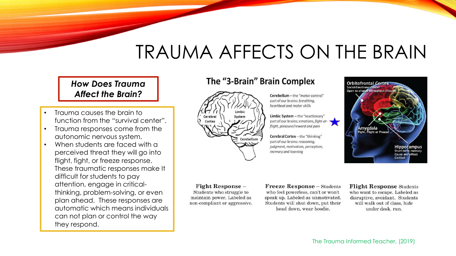## TRAUMA AFFECTS ON THE BRAIN

*How Does Trauma Affect the Brain?* 

- Trauma causes the brain to function from the "survival center".
- Trauma responses come from the autonomic nervous system.
- When students are faced with a perceived threat they will go into flight, fight, or freeze response. These traumatic responses make It difficult for students to pay attention, engage in criticalthinking, problem-solving, or even plan ahead. These responses are automatic which means individuals can not plan or control the way they respond.

#### The "3-Brain" Brain Complex



Cerebellum - the "motor control" part of our brains: breathing. heartbeat and motor skills

Limbic System - the "reactionary" part of our brains: emotions, fight-orflight, pleasure/reward and pain

Cerebral Cortex - the "thinking" part of our brains: reasoning, judgment, motivation, perception, memory and learning



Fight Response -Students who struggle to maintain power. Labeled as non-compliant or aggressive.

**Freeze Response** - Students who feel powerless, can't or won't speak up. Labeled as unmotivated. Students will shut down, put their head down, wear hoodie.

**Flight Response Students** who want to escape. Labeled as disruptive, avoidant. Students will walk out of class, hide under desk. run.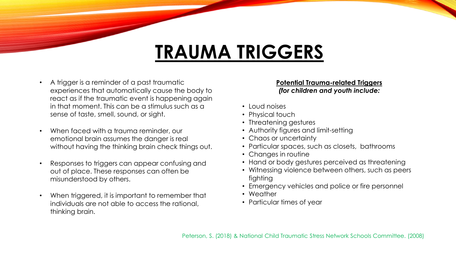## **TRAUMA TRIGGERS**

- A trigger is a reminder of a past traumatic experiences that automatically cause the body to react as if the traumatic event is happening again in that moment. This can be a stimulus such as a sense of taste, smell, sound, or sight.
- When faced with a trauma reminder, our emotional brain assumes the danger is real without having the thinking brain check things out.
- Responses to triggers can appear confusing and out of place. These responses can often be misunderstood by others.
- When triggered, it is important to remember that individuals are not able to access the rational, thinking brain.

#### **Potential Trauma-related Triggers**  *(for children and youth include:*

- Loud noises
- Physical touch
- Threatening gestures
- Authority figures and limit-setting
- Chaos or uncertainty
- Particular spaces, such as closets, bathrooms
- Changes in routine
- Hand or body gestures perceived as threatening
- Witnessing violence between others, such as peers fighting
- Emergency vehicles and police or fire personnel
- Weather
- Particular times of year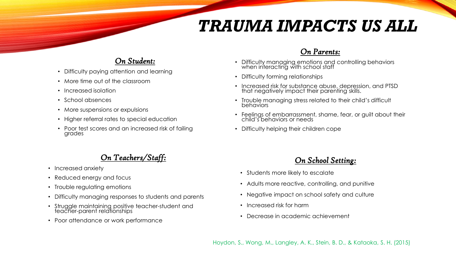### *TRAUMA IMPACTS US ALL*

#### *On Student:*

- Difficulty paying attention and learning
- More time out of the classroom
- Increased isolation
- School absences
- More suspensions or expulsions
- Higher referral rates to special education
- Poor test scores and an increased risk of failing grades

#### *On Teachers/Staff:*

- Increased anxiety
- Reduced energy and focus
- Trouble requlating emotions
- Difficulty managing responses to students and parents
- Struggle maintaining positive teacher-student and teacher-parent relationships
- Poor attendance or work performance

#### *On Parents:*

- Difficulty managing emotions and controlling behaviors when interacting with school staff
- Difficulty forming relationships
- Increased risk for substance abuse, depression, and PTSD that negatively impact their parenting skills.
- Trouble managing stress related to their child's difficult behaviors
- Feelings of embarrassment, shame, fear, or guilt about their child's behaviors or needs
- Difficulty helping their children cope

#### *On School Setting:*

- Students more likely to escalate
- Adults more reactive, controlling, and punitive
- Negative impact on school safety and culture
- Increased risk for harm
- Decrease in academic achievement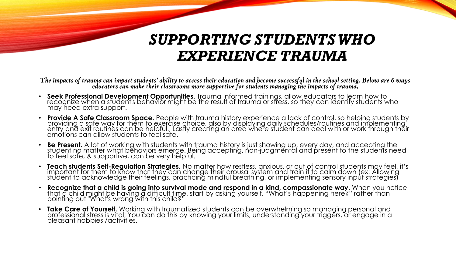### *SUPPORTING STUDENTS WHO EXPERIENCE TRAUMA*

*The impacts of trauma can impact students' ability to access their education and become successful in the school setting. Below are 6 ways educators can make their classrooms more supportive for students managing the impacts of trauma.* 

- **Seek Professional Development Opportunities.** Trauma Informed trainings, allow educators to learn how to recognize when a student's behavior might be the result of trauma or stress, so they can identify students who may need extra support.
- **Provide A Safe Classroom Space.** People with trauma history experience a lack of control, so helping students by providing a safe way for them to exercise choice, also by displaying daily schedules/routines and implementing entry and exit routines can be helpful., Lastly creating an area where student can deal with or work through their emotions can allow students to feel safe.
- **Be Present.** A lot of working with students with trauma history is just showing up, every day, and accepting the student no matter what behaviors emerge. Being accepting, non-judgmental and present to the students need to feel safe, & supportive, can be very helpful.
- **Teach students Self-Regulation Strategies**. No matter how restless, anxious, or out of control students may feel, it's important for them to know that they can change their arousal system and train it to calm down (ex: Allowing student to acknowledge their feelings, practicing mindful breathing, or implementing sensory input strategies)
- **Recognize that a child is going into survival mode and respond in a kind, compassionate way.** When you notice that a child might be having a difficult time, start by asking yourself, "What's happening here?" rather than pointing out "What's wrong with this child?"
- **Take Care of Yourself.** Working with traumatized students can be overwhelming so managing personal and professional stress is vital: You can do this by knowing your limits, understanding your triggers, or engage in a pleasant hobbies /activities.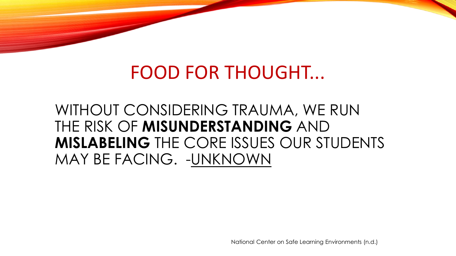## FOOD FOR THOUGHT...

### WITHOUT CONSIDERING TRAUMA, WE RUN THE RISK OF **MISUNDERSTANDING** AND **MISLABELING** THE CORE ISSUES OUR STUDENTS MAY BE FACING. -UNKNOWN

National Center on Safe Learning Environments (n.d.)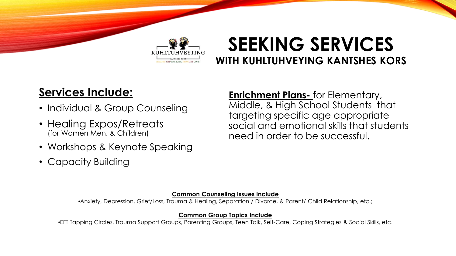

### **SEEKING SERVICES WITH KUHLTUHVEYING KANTSHES KORS**

### **Services Include:**

- Individual & Group Counseling
- Healing Expos/Retreats (for Women Men, & Children)
- Workshops & Keynote Speaking
- Capacity Building

**Enrichment Plans-** for Elementary, Middle, & High School Students that targeting specific age appropriate social and emotional skills that students need in order to be successful.

#### **Common Counseling Issues Include**

•Anxiety, Depression, Grief/Loss, Trauma & Healing, Separation / Divorce, & Parent/ Child Relationship, etc.;

#### **Common Group Topics Include**

•EFT Tapping Circles, Trauma Support Groups, Parenting Groups, Teen Talk, Self-Care, Coping Strategies & Social Skills, etc.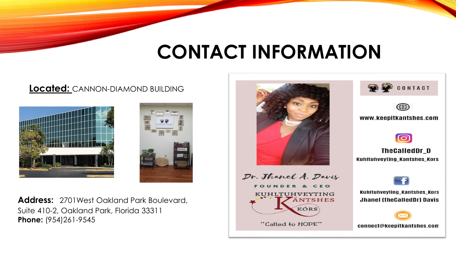## **CONTACT INFORMATION**

#### **Located:** CANNON-DIAMOND BUILDING





**Address:** 2701West Oakland Park Boulevard, Suite 410-2, Oakland Park, Florida 33311 **Phone:** (954)261-9545



**FOUNDER & CEO KUHLTUHVEYTING ÄNTSHES** KÓRS

"Called to HOPE"